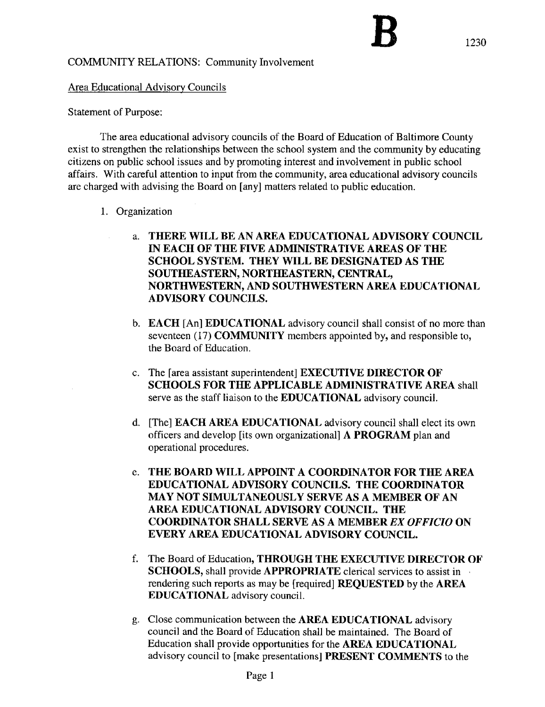## COMMUNITY RELATIONS: Community Involvement

## Area Educational Advisory Councils

## Statement of Purpose:

The area educational advisory councils of the Board of Education of Baltimore County exist to strengthen the relationships between the school system and the community by educating citizens on public school issues and by promoting interest and involvement in public school affairs. With careful attention to input from the community, area educational advisory councils are charged with advising the Board on [any] matters related to public education.

- 1. Organization
	- a. THERE WILL BE AN AREA EDUCATIONAL ADVISORY COUNCIL IN EACH OF THE FIVE ADMINISTRATIVE AREAS OF THE SCHOOL SYSTEM. THEY WILL BE DESIGNATED AS THE SOUTHEASTERN, NORTHEASTERN, CENTRAL, NORTHWESTERN, AND SOUTHWESTERN AREA EDUCATIONAL ADVISORY COUNCILS.
	- b. **EACH** [An] **EDUCATIONAL** advisory council shall consist of no more than seventeen (17) **COMMUNITY** members appointed by, and responsible to, the Board of Education,
	- c. The [area assistant superintendent] EXECUTIVE DIRECTOR OF SCHOOLS FOR THE APPLICABLE ADMINISTRATIVE AREA shall serve as the staff liaison to the EDUCATIONAL advisory council.
	- d. [The] EACH AREA EDUCATIONAL advisory council shall elect its own officers and develop [its own organizational] A PROGRAM plan and operational procedures.
	- e. THE BOARD WILL APPOINT A COORDINATOR FOR THE AREA EDUCATIONAL ADVISORY COUNCILS. THE COORDINATOR MAY NOT SIMULTANEOUSLY SERVE AS A MEMBER OF AN AREA EDUCATIONAL ADVISORY COUNCIL. THE COORDINATOR SHALL SERVE AS A MEMBER EX OFFICIO ON EVERY AREA EDUCATIONAL ADVISORY COUNCIL.
	- f. The Board of Education, THROUGH THE EXECUTIVE DIRECTOR OF SCHOOLS, shall provide APPROPRIATE clerical services to assist in rendering such reports as may be [required] REQUESTED by the AREA EDUCATIONAL advisory council.
	- g. Close communication between the AREA EDUCATIONAL advisory council and the Board of Education shall be maintained. The Board of Education shall provide opportunities for the AREA EDUCATIONAL advisory council to [make presentations] PRESENT COMMENTS to the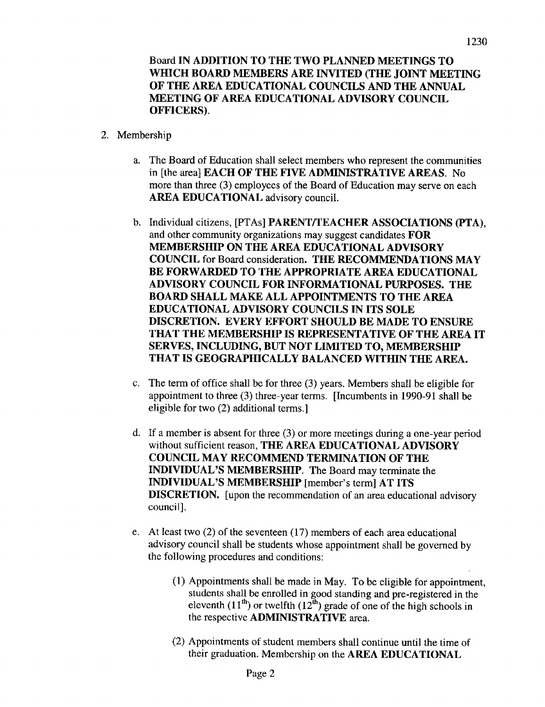Board IN ADDITION TO THE TWO PLANNED MEETINGS TO WHICH BOARD MEMBERS ARE INVITED (THE JOINT MEETING OF THE AREA EDUCATIONAL COUNCILS AND THE ANNUAL MEETING OF AREA EDUCATIONAL ADVISORY COUNCIL OFFICERS).

- 2. Membership
	- The Board of Education shall select members who represent the communities in [the area] EACH OF THE FIVE ADMINISTRATIVE AREAS. No more than three (3) employees of the Board of Education may serve on each AREA EDUCATIONAL advisory council.
	- b. Individual citizens, [PTAs] PARENT/TEACHER ASSOCIATIONS (PTA), and other community organizations may suggest candidates FOR MEMBERSHIP ON THE AREA EDUCATIONAL ADVISORY COUNCIL for Board consideration. THE RECOMMENDATIONS MAY BE FORWARDED TO THE APPROPRIATE AREA EDUCATIONAL ADVISORY COUNCIL FOR INFORMATIONAL PURPOSES. THE BOARD SHALL MAKE ALL APPOINTMENTS TO THE AREA EDUCATIONAL ADVISORY COUNCILS IN ITS SOLE DISCRETION. EVERY EFFORT SHOULD BE MADE TO ENSURE THAT THE MEMBERSHIP IS REPRESENTATIVE OF THE AREA IT SERVES, INCLUDING, BUT NOT LIMITED TO, MEMBERSHIP THAT IS GEOGRAPHICALLY BALANCED WITHIN THE AREA.
	- c. The term of office shall be for three (3) years. Members shall be eligible for appointment to three (3) three-year terms. [Incumbents in 1990-91 shall be eligible for two (2) additional terms .]
	- d. If a member is absent for three (3) or more meetings during a one-year period without sufficient reason, THE AREA EDUCATIONAL ADVISORY COUNCIL MAY RECOMMEND TERMINATION OF THE INDIVIDUAL'S MEMBERSHIP. The Board may terminate the INDIVIDUAL'S MEMBERSHIP [member's term] AT ITS DISCRETION. [upon the recommendation of an area educational advisory council].
	- e. At least two  $(2)$  of the seventeen  $(17)$  members of each area educational advisory council shall be students whose appointment shall be governed by the following procedures and conditions :
		- (1) Appointments shall be made in May. To be eligible for appointment, students shall be enrolled in good standing and pre-registered in the eleventh  $(11<sup>th</sup>)$  or twelfth  $(12<sup>th</sup>)$  grade of one of the high schools in the respective ADMINISTRATIVE area.
		- (2) Appointments of student members shall continue until the time of their graduation. Membership on the AREA EDUCATIONAL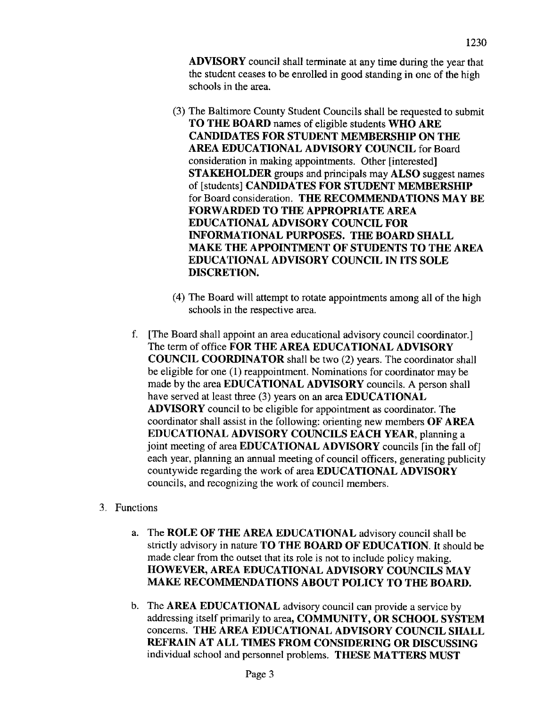ADVISORY council shall terminate at any time during the year that the student ceases to be enrolled in good standing in one of the high schools in the area.

- (3) The Baltimore County Student Councils shall be requested to submit TO THE BOARD names of eligible students WHO ARE CANDIDATES FOR STUDENT MEMBERSHIP ON THE AREA EDUCATIONAL ADVISORY COUNCIL for Board consideration in making appointments. Other [interested] STAKEHOLDER groups and principals may ALSO suggest names of [students] CANDIDATES FOR STUDENT MEMBERSHIP for Board consideration. THE RECOMMENDATIONS MAY BE FORWARDED TO THE APPROPRIATE AREA EDUCATIONAL ADVISORY COUNCIL FOR INFORMATIONAL PURPOSES. THE BOARD SHALL MAKE THE APPOINTMENT OF STUDENTS TO THE AREA EDUCATIONAL ADVISORY COUNCIL IN ITS SOLE DISCRETION.
- (4) The Board will attempt to rotate appointments among all of the high schools in the respective area.
- f. [The Board shall appoint an area educational advisory council coordinator.] The term of office FOR THE AREA EDUCATIONAL ADVISORY COUNCIL COORDINATOR shall be two (2) years. The coordinator shall be eligible for one (1) reappointment. Nominations for coordinator may be made by the area EDUCATIONAL ADVISORY councils. A person shall have served at least three (3) years on an area **EDUCATIONAL** ADVISORY council to be eligible for appointment as coordinator. The coordinator shall assist in the following: orienting new members OF AREA EDUCATIONAL ADVISORY COUNCILS EACH YEAR, planning <sup>a</sup> joint meeting of area EDUCATIONAL ADVISORY councils [in the fall of] each year, planning an annual meeting of council officers, generating publicity countywide regarding the work of area EDUCATIONAL ADVISORY councils, and recognizing the work of council members.
- 3. Functions
	- a. The ROLE OF THE AREA EDUCATIONAL advisory council shall be strictly advisory in nature TO THE BOARD OF EDUCATION. It should be made clear from the outset that its role is not to include policy making. HOWEVER, AREA EDUCATIONAL ADVISORY COUNCILS MAY MAKE RECOMMENDATIONS ABOUT POLICY TO THE BOARD.
	- b. The AREA EDUCATIONAL advisory council can provide <sup>a</sup> service by addressing itself primarily to area, COMMUNITY, OR SCHOOL SYSTEM concerns. THE AREA EDUCATIONAL ADVISORY COUNCIL SHALL REFRAIN AT ALL TIMES FROM CONSIDERING OR DISCUSSING individual school and personnel problems. THESE MATTERS MUST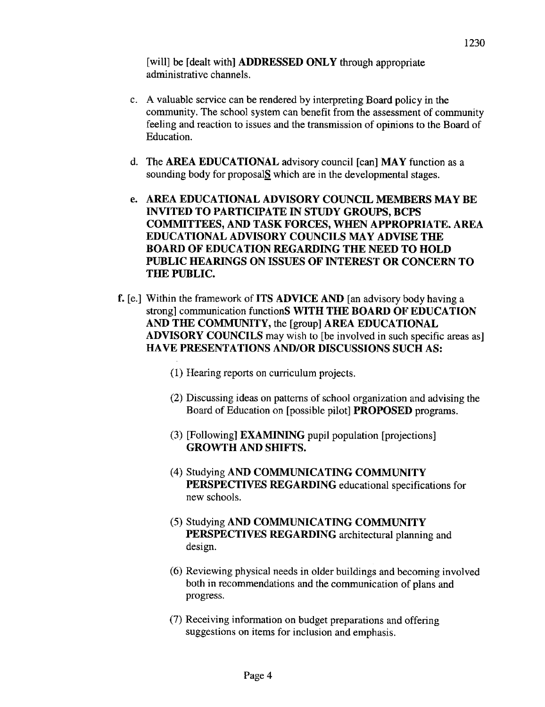[will] be [dealt with] **ADDRESSED ONLY** through appropriate administrative channels.

- <sup>c</sup> . A valuable service can be rendered by interpreting Board policy in the community. The school system can benefit from the assessment of community feeling and reaction to issues and the transmission of opinions to the Board of Education.
- d. The AREA EDUCATIONAL advisory council [can] MAY function as <sup>a</sup> sounding body for proposal $S$  which are in the developmental stages.
- e. AREA EDUCATIONAL ADVISORY COUNCIL MEMBERS MAY BE INVITED TO PARTICIPATE IN STUDY GROUPS, BCPS COMMITTEES, AND TASK FORCES, WHEN APPROPRIATE. AREA EDUCATIONAL ADVISORY COUNCILS MAY ADVISE THE BOARD OF EDUCATION REGARDING THE NEED TO HOLD PUBLIC HEARINGS ON ISSUES OF INTEREST OR CONCERN TO THE PUBLIC.
- f. [e.] Within the framework of ITS ADVICE AND [an advisory body having a strong] communication functionS WITH THE BOARD OF EDUCATION AND THE COMMUNITY, the [group] AREA EDUCATIONAL ADVISORY COUNCILS may wish to [be involved in such specific areas as] HAVE PRESENTATIONS AND/OR DISCUSSIONS SUCH AS:
	- (1) Hearing reports on curriculum projects .
	- (2) Discussing ideas on patterns of school organization and advising the Board of Education on [possible pilot] PROPOSED programs .
	- (3) [Following] EXAMINING pupil population [projections] GROWTH AND SHIFTS.
	- (4) Studying AND COMMUNICATING COMMUNITY PERSPECTIVES REGARDING educational specifications for new schools.
	- (5) Studying AND COMMUNICATING COMMUNITY PERSPECTIVES REGARDING architectural planning and design.
	- (6) Reviewing physical needs in older buildings and becoming involved both in recommendations and the communication of plans and progress.
	- (7) Receiving information on budget preparations and offering suggestions on items for inclusion and emphasis.